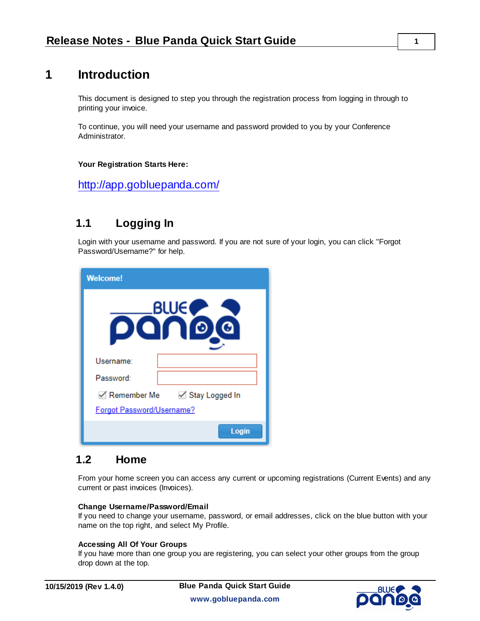# **1 Introduction**

This document is designed to step you through the registration process from logging in through to printing your invoice.

To continue, you will need your username and password provided to you by your Conference Administrator.

#### **Your Registration Starts Here:**

<http://app.gobluepanda.com/>

## **1.1 Logging In**

Login with your username and password. If you are not sure of your login, you can click "Forgot Password/Username?" for help.

| <b>Welcome!</b>                     |
|-------------------------------------|
| <b>BLUE</b>                         |
| Username:                           |
| Password:                           |
| <b>EXAMPLE REVISTER</b> Remember Me |
| Forgot Password/Username?           |
| Login                               |

### **1.2 Home**

From your home screen you can access any current or upcoming registrations (Current Events) and any current or past invoices (Invoices).

#### **Change Username/Password/Email**

If you need to change your username, password, or email addresses, click on the blue button with your name on the top right, and select My Profile.

#### **Accessing All Of Your Groups**

If you have more than one group you are registering, you can select your other groups from the group drop down at the top.

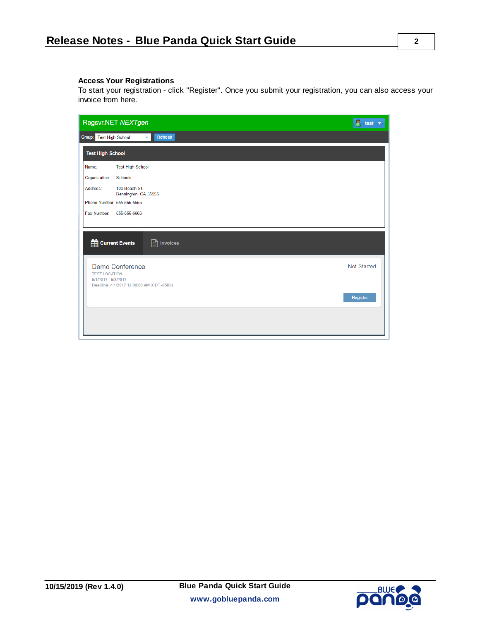#### **Access Your Registrations**

To start your registration - click "Register". Once you submit your registration, you can also access your invoice from here.

| Regsvr.NET NEXTgen                                                                                                 | $\bullet$ test $\bullet$ |
|--------------------------------------------------------------------------------------------------------------------|--------------------------|
| <b>Refresh</b><br>Group: Test High School<br>$\overline{\phantom{a}}$                                              |                          |
| <b>Test High School</b>                                                                                            |                          |
| <b>Test High School</b><br>Name:                                                                                   |                          |
| Organization:<br><b>Schools</b>                                                                                    |                          |
| Address:<br>100 Beach St.<br>Bennington, CA 55555                                                                  |                          |
| Phone Number: 555-555-5555                                                                                         |                          |
| Fax Number:<br>555-555-6666                                                                                        |                          |
|                                                                                                                    |                          |
| Current Events<br>$\mathbf{r}$ Invoices                                                                            |                          |
| <b>Demo Conference</b><br><b>TEST LOCATION</b><br>5/1/2017 - 5/3/2017<br>Deadline: 4/1/2017 12:00:00 AM (CDT-0500) | <b>Not Started</b>       |
|                                                                                                                    | Register                 |
|                                                                                                                    |                          |
|                                                                                                                    |                          |

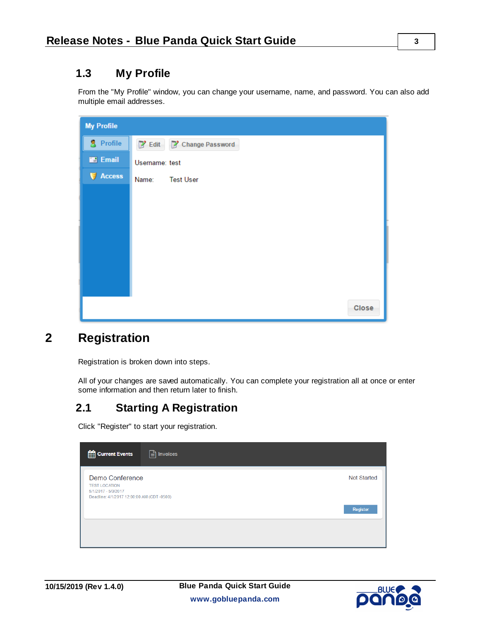# **1.3 My Profile**

From the "My Profile" window, you can change your username, name, and password. You can also add multiple email addresses.

| <b>My Profile</b> |                           |
|-------------------|---------------------------|
| <b>S</b> Profile  | P Edit P Change Password  |
| <b>Exp</b> Email  | Username: test            |
| Access            | Name:<br><b>Test User</b> |
|                   |                           |
|                   |                           |
|                   |                           |
|                   |                           |
|                   |                           |
|                   |                           |
|                   |                           |
|                   | Close                     |

# **2 Registration**

Registration is broken down into steps.

All of your changes are saved automatically. You can complete your registration all at once or enter some information and then return later to finish.

# **2.1 Starting A Registration**

Click "Register" to start your registration.

| <b>Current Events</b><br>$\boxed{\triangle}$ Invoices                                                       |                                |
|-------------------------------------------------------------------------------------------------------------|--------------------------------|
| Demo Conference<br><b>TEST LOCATION</b><br>5/1/2017 - 5/3/2017<br>Deadline: 4/1/2017 12:00:00 AM (CDT-0500) | <b>Not Started</b><br>Register |
|                                                                                                             |                                |

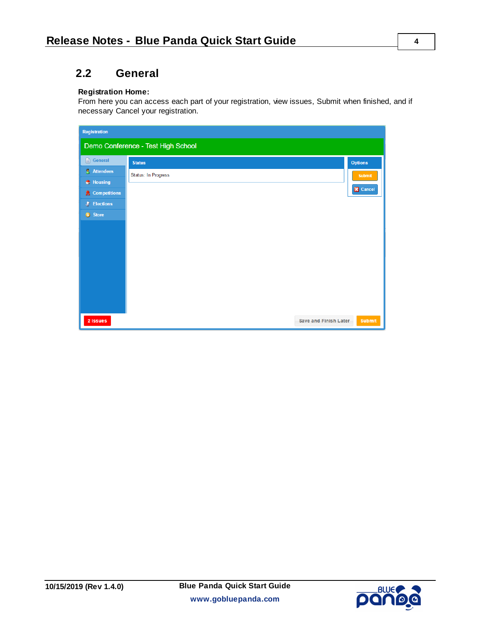# **2.2 General**

#### **Registration Home:**

From here you can access each part of your registration, view issues, Submit when finished, and if necessary Cancel your registration.

| <b>Registration</b>            |                                    |                 |
|--------------------------------|------------------------------------|-----------------|
|                                | Demo Conference - Test High School |                 |
| General                        | <b>Status</b>                      | <b>Options</b>  |
| <b>Attendees</b>               | Status: In Progress                | <b>Submit</b>   |
| $\bigoplus$ Housing            |                                    | <b>X</b> Cancel |
| <b>A</b> Competitions          |                                    |                 |
| <b>J</b> <sup></sup> Elections |                                    |                 |
| S Store                        |                                    |                 |
|                                |                                    |                 |
|                                |                                    |                 |
|                                |                                    |                 |
|                                |                                    |                 |
|                                |                                    |                 |
|                                |                                    |                 |
|                                |                                    |                 |
|                                |                                    |                 |
| 2 Issues                       | <b>Save and Finish Later</b>       | <b>Submit</b>   |



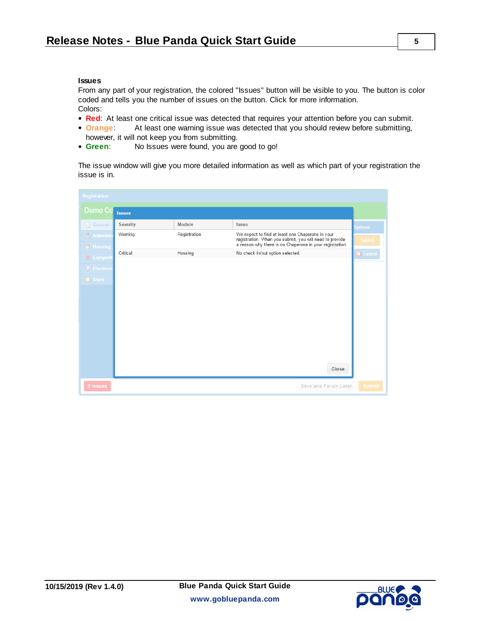#### **Issues**

From any part of your registration, the colored "Issues" button will be visible to you. The button is color coded and tells you the number of issues on the button. Click for more information. Colors:

- **Red:** At least one critical issue was detected that requires your attention before you can submit.
- **Orange:** At least one warning issue was detected that you should review before submitting, however, it will not keep you from submitting.
- **Green**: No Issues were found, you are good to go!

The issue window will give you more detailed information as well as which part of your registration the issue is in.

| <b>Registration</b>                 |                 |               |                                                                                                                                                                         |       |                 |
|-------------------------------------|-----------------|---------------|-------------------------------------------------------------------------------------------------------------------------------------------------------------------------|-------|-----------------|
| Demo Co                             | <b>Issues</b>   |               |                                                                                                                                                                         |       |                 |
| $\Box$ General                      | <b>Severity</b> | <b>Module</b> | <b>Issue</b>                                                                                                                                                            |       | <b>Options</b>  |
| <b>Attendee</b><br><b>C</b> Housing | Warning         | Registration  | We expect to find at least one Chaperone in your<br>registration. When you submit, you will need to provide<br>a reason why there is no Chaperone in your registration. |       | <b>Submit</b>   |
| <b>A</b> Competit                   | Critical        | Housing       | No check in/out option selected.                                                                                                                                        |       | <b>X</b> Cancel |
| J Elections                         |                 |               |                                                                                                                                                                         |       |                 |
| S Store                             |                 |               |                                                                                                                                                                         |       |                 |
|                                     |                 |               |                                                                                                                                                                         |       |                 |
|                                     |                 |               |                                                                                                                                                                         |       |                 |
|                                     |                 |               |                                                                                                                                                                         |       |                 |
|                                     |                 |               |                                                                                                                                                                         |       |                 |
|                                     |                 |               |                                                                                                                                                                         |       |                 |
|                                     |                 |               |                                                                                                                                                                         |       |                 |
|                                     |                 |               |                                                                                                                                                                         | Close |                 |
| 2 Issues                            |                 |               | Save and Finish Later                                                                                                                                                   |       | <b>Submit</b>   |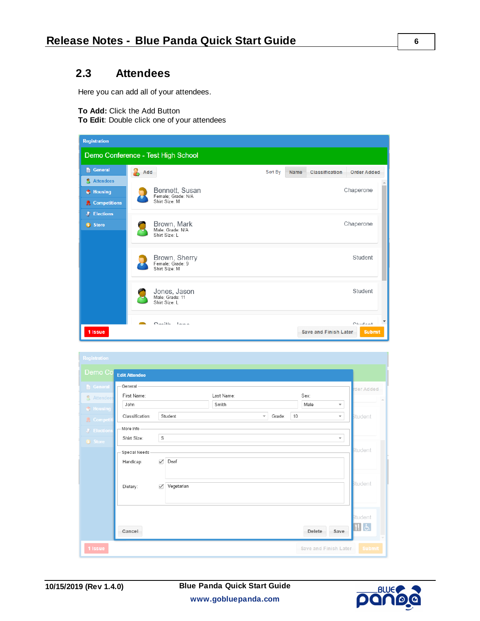### **2.3 Attendees**

Here you can add all of your attendees.

**To Add:** Click the Add Button

**To Edit**: Double click one of your attendees

| <b>Registration</b>                                              |                                                       |                                                                  |
|------------------------------------------------------------------|-------------------------------------------------------|------------------------------------------------------------------|
|                                                                  | Demo Conference - Test High School                    |                                                                  |
| <b>E</b> General                                                 | Add                                                   | Sort By<br><b>Classification</b><br><b>Order Added</b><br>Name   |
| <b>Attendees</b><br>$\bigoplus$ Housing<br><b>R</b> Competitions | Bennett, Susan<br>Female; Grade: N/A<br>Shirt Size: M | Chaperone                                                        |
| <b>J</b> <sup>*</sup> Elections<br>S Store                       | Brown, Mark<br>Male; Grade: N/A<br>Shirt Size: L      | Chaperone                                                        |
|                                                                  | Brown, Sherry<br>Female; Grade: 9<br>Shirt Size: M    | Student                                                          |
|                                                                  | Jones, Jason<br>Male; Grade: 11<br>Shirt Size: L      | Student                                                          |
| 1 Issue                                                          | $O_{\text{multi}}$ $I_{\text{max}}$                   | $C + d - d - d$<br><b>Save and Finish Later</b><br><b>Submit</b> |

| <b>Registration</b>                        |                                                                                                       |                        |
|--------------------------------------------|-------------------------------------------------------------------------------------------------------|------------------------|
| Demo Co                                    | <b>Edit Attendee</b>                                                                                  |                        |
| <b>E</b> General<br><b>&amp;</b> Attendees | General<br>First Name:<br>Sex:<br>Last Name:<br>John<br>Smith<br>Male<br>$\overline{\phantom{a}}$     | rder Added<br>$\Delta$ |
| $\bigoplus$ Housing<br><b>A</b> Competiti  | 10<br>Classification:<br>Student<br>$\mathcal{L}$<br>Grade:<br>$\overline{\mathbf{v}}$<br>- More Info | Student                |
| J' Elections<br>S Store                    | S<br>Shirt Size:<br>$\mathbf{v}$                                                                      | <b>Student</b>         |
|                                            | Special Needs<br>Deaf<br>$\checkmark$<br>Handicap:                                                    |                        |
|                                            | Vegetarian<br>Dietary:<br>$\checkmark$                                                                | <b>Student</b>         |
|                                            | Delete<br>Save<br>Cancel                                                                              | <b>Student</b><br>H&   |
| 1 Issue                                    | <b>Save and Finish Later</b>                                                                          | <b>Submit</b>          |

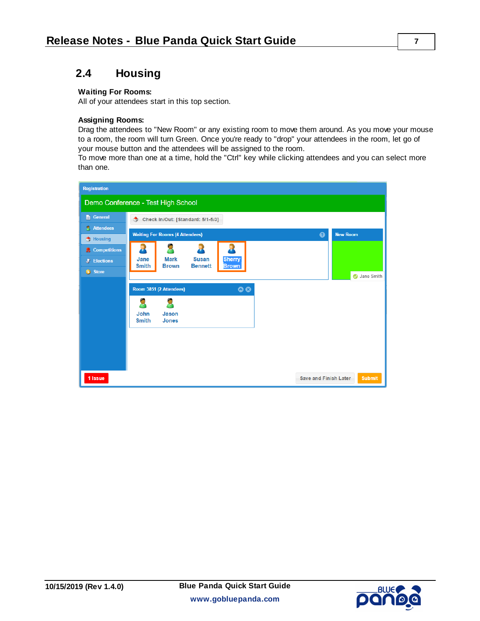### **2.4 Housing**

#### **Waiting For Rooms:**

All of your attendees start in this top section.

#### **Assigning Rooms:**

Drag the attendees to "New Room" or any existing room to move them around. As you move your mouse to a room, the room will turn Green. Once you're ready to "drop" your attendees in the room, let go of your mouse button and the attendees will be assigned to the room.

To move more than one at a time, hold the "Ctrl" key while clicking attendees and you can select more than one.

| <b>Registration</b>                                      |                                                                |                 |  |  |
|----------------------------------------------------------|----------------------------------------------------------------|-----------------|--|--|
|                                                          | Demo Conference - Test High School                             |                 |  |  |
| General                                                  | Check In/Out: [Standard: 5/1-5/3]<br>Ф                         |                 |  |  |
| <b>Attendees</b>                                         | <b>Waiting For Rooms (4 Attendees)</b><br>$\mathbf Q$          | <b>New Room</b> |  |  |
| Housing                                                  | R                                                              |                 |  |  |
| <b>R</b> Competitions<br><b>J</b> <sup>C</sup> Elections | <b>Mark</b><br><b>Susan</b><br><b>Sherry</b><br>Jane           |                 |  |  |
| S Store                                                  | <b>Brown</b><br><b>Bennett</b><br><b>Smith</b><br><b>Brown</b> |                 |  |  |
|                                                          |                                                                | Jane Smith      |  |  |
|                                                          | $\bullet$<br>Room 3851 (2 Attendees)                           |                 |  |  |
|                                                          | g                                                              |                 |  |  |
|                                                          | John<br>Jason<br><b>Smith</b><br><b>Jones</b>                  |                 |  |  |
|                                                          |                                                                |                 |  |  |
|                                                          |                                                                |                 |  |  |
|                                                          |                                                                |                 |  |  |
| 1 Issue                                                  | <b>Save and Finish Later</b>                                   | <b>Submit</b>   |  |  |

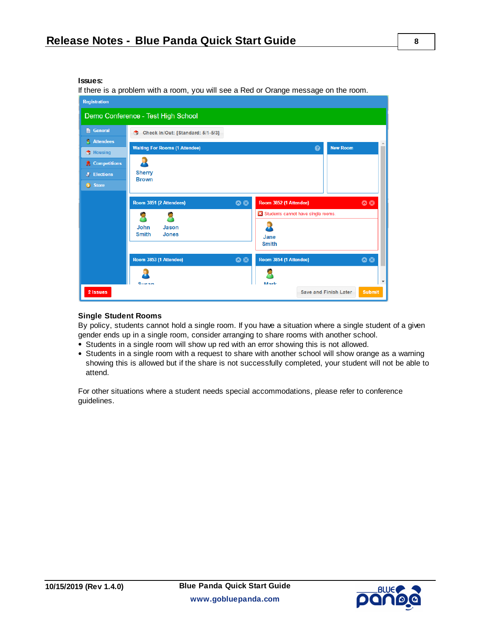#### **Issues:**

If there is a problem with a room, you will see a Red or Orange message on the room.



#### **Single Student Rooms**

By policy, students cannot hold a single room. If you have a situation where a single student of a given gender ends up in a single room, consider arranging to share rooms with another school.

- Students in a single room will show up red with an error showing this is not allowed.
- Students in a single room with a request to share with another school will show orange as a warning showing this is allowed but if the share is not successfully completed, your student will not be able to attend.

For other situations where a student needs special accommodations, please refer to conference guidelines.



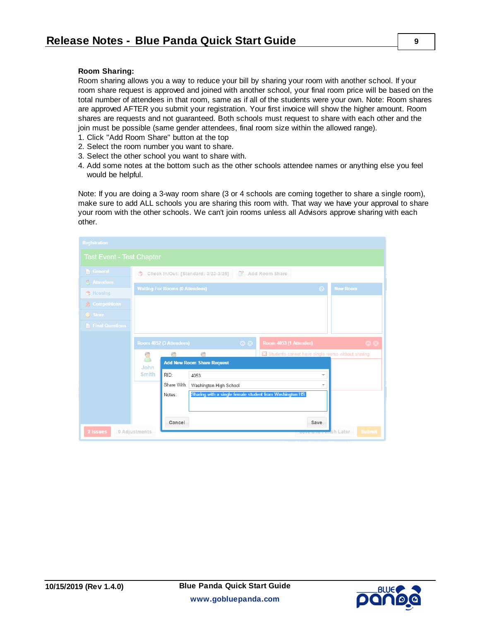#### **Room Sharing:**

Room sharing allows you a way to reduce your bill by sharing your room with another school. If your room share request is approved and joined with another school, your final room price will be based on the total number of attendees in that room, same as if all of the students were your own. Note: Room shares are approved AFTER you submit your registration. Your first invoice will show the higher amount. Room shares are requests and not guaranteed. Both schools must request to share with each other and the join must be possible (same gender attendees, final room size within the allowed range).

- 1. Click "Add Room Share" button at the top
- 2. Select the room number you want to share.
- 3. Select the other school you want to share with.
- 4. Add some notes at the bottom such as the other schools attendee names or anything else you feel would be helpful.

Note: If you are doing a 3-way room share (3 or 4 schools are coming together to share a single room), make sure to add ALL schools you are sharing this room with. That way we have your approval to share your room with the other schools. We can't join rooms unless all Advisors approve sharing with each other.

| <b>Registration</b>                    |                                                                                                                               |  |
|----------------------------------------|-------------------------------------------------------------------------------------------------------------------------------|--|
| <b>Test Event - Test Chapter</b>       |                                                                                                                               |  |
| <b>E</b> General                       | Check In/Out: [Standard: 3/23-3/25]<br>2 Add Room Share<br>Ġ.                                                                 |  |
| <b>A</b> Attendees<br><b>B</b> Housing | <b>Waiting For Rooms (0 Attendees)</b><br><b>New Room</b><br>(2)                                                              |  |
| <b>R</b> Competitions                  |                                                                                                                               |  |
| S Store                                |                                                                                                                               |  |
| <b>Final Questions</b>                 |                                                                                                                               |  |
|                                        | $\bullet$<br>Room 4053 (1 Attendee)<br>Room 4052 (3 Attendees)<br>$\bullet x$                                                 |  |
|                                        | <b>23</b> Students cannot have single rooms without sharing.<br><b>Add New Room Share Request</b><br>John                     |  |
|                                        | <b>Smith</b><br>RID:<br>4053<br>$\overline{\phantom{a}}$<br>Share With:<br>Washington High School<br>$\overline{\phantom{a}}$ |  |
|                                        | Sharing with a single female student from Washington HS.<br>Notes:                                                            |  |
| 2 Issues                               | Cancel<br>Save<br>0 Adjustments<br><b>Submit</b><br><b>Imsh Later</b>                                                         |  |

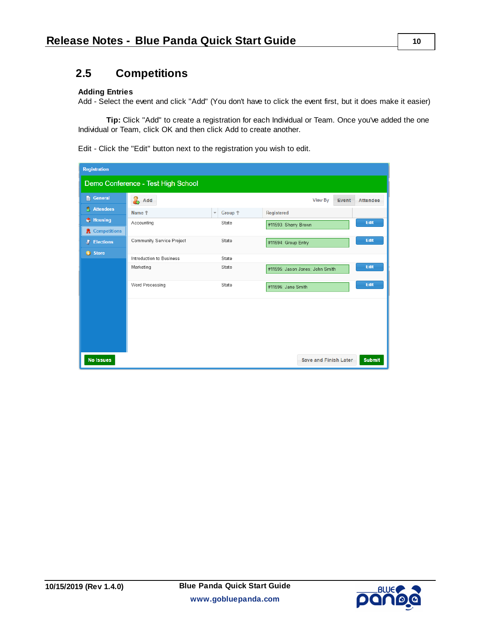### **2.5 Competitions**

#### **Adding Entries**

Add - Select the event and click "Add" (You don't have to click the event first, but it does make it easier)

**Tip:** Click "Add" to create a registration for each Individual or Team. Once you've added the one Individual or Team, click OK and then click Add to create another.

Edit - Click the "Edit" button next to the registration you wish to edit.

| <b>Registration</b>                |                           |                                               |                                               |  |  |
|------------------------------------|---------------------------|-----------------------------------------------|-----------------------------------------------|--|--|
| Demo Conference - Test High School |                           |                                               |                                               |  |  |
| General                            | $\frac{1}{2}$ Add         |                                               | <b>View By</b><br>Event<br><b>Attendee</b>    |  |  |
| <b>Attendees</b><br>A.             | Name <sup>+</sup>         | Group <sup>+</sup><br>$\overline{\mathbf{v}}$ | <b>Registered</b>                             |  |  |
| $\bigoplus$ Housing                | Accounting                | State                                         | Edit<br>#11593: Sherry Brown                  |  |  |
| <b>R</b> Competitions              |                           |                                               |                                               |  |  |
| <b>J</b> <sup></sup> Elections     | Community Service Project | State                                         | Edit<br>#11594: Group Entry                   |  |  |
| S Store                            | Introduction to Business  | State                                         |                                               |  |  |
|                                    | Marketing                 | State                                         | Edit                                          |  |  |
|                                    |                           |                                               | #11595: Jason Jones: John Smith               |  |  |
|                                    | Word Processing           | State                                         | Edit<br>#11596: Jane Smith                    |  |  |
|                                    |                           |                                               |                                               |  |  |
|                                    |                           |                                               |                                               |  |  |
|                                    |                           |                                               |                                               |  |  |
|                                    |                           |                                               |                                               |  |  |
|                                    |                           |                                               |                                               |  |  |
| <b>No Issues</b>                   |                           |                                               | <b>Submit</b><br><b>Save and Finish Later</b> |  |  |



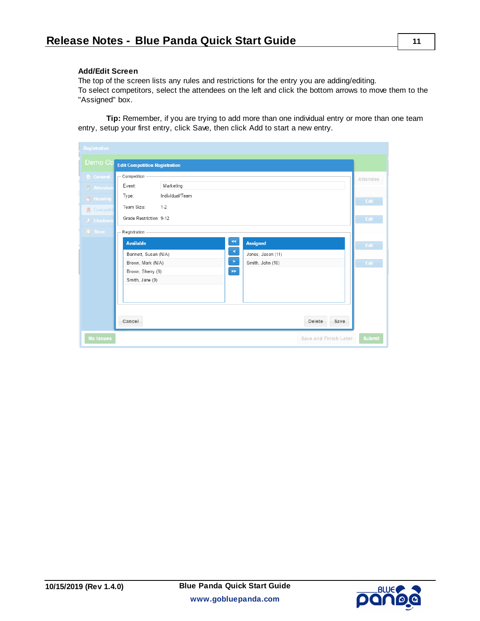#### **Add/Edit Screen**

The top of the screen lists any rules and restrictions for the entry you are adding/editing. To select competitors, select the attendees on the left and click the bottom arrows to move them to the "Assigned" box.

**Tip:** Remember, if you are trying to add more than one individual entry or more than one team entry, setup your first entry, click Save, then click Add to start a new entry.

| <b>Registration</b>      |                                                     |                 |
|--------------------------|-----------------------------------------------------|-----------------|
| Demo Co                  | <b>Edit Competition Registration</b>                |                 |
| <b>General</b>           | Competition                                         | <b>Attendee</b> |
| <b>Attendees</b>         | Marketing<br>Event:                                 |                 |
| $\bigoplus$ Housing      | Individual/Team<br>Type:                            |                 |
| R Competiti              | Team Size:<br>$1 - 2$                               | Edit            |
| J <sup>*</sup> Elections | Grade Restriction: 9-12                             | Edit            |
| S Store                  | Registration                                        |                 |
|                          | $\ll$<br><b>Assigned</b><br><b>Available</b>        | Edit            |
|                          | $\leq$<br>Bennett, Susan (N/A)<br>Jones, Jason (11) |                 |
|                          | $\,>\,$<br>Brown, Mark (N/A)<br>Smith, John (10)    | Edit            |
|                          | $\gg$<br>Brown, Sherry (9)                          |                 |
|                          | Smith, Jane (9)                                     |                 |
|                          |                                                     |                 |
|                          |                                                     |                 |
|                          |                                                     |                 |
|                          | Cancel<br>Delete<br>Save                            |                 |
| <b>No Issues</b>         | Save and Finish Later                               | <b>Submit</b>   |

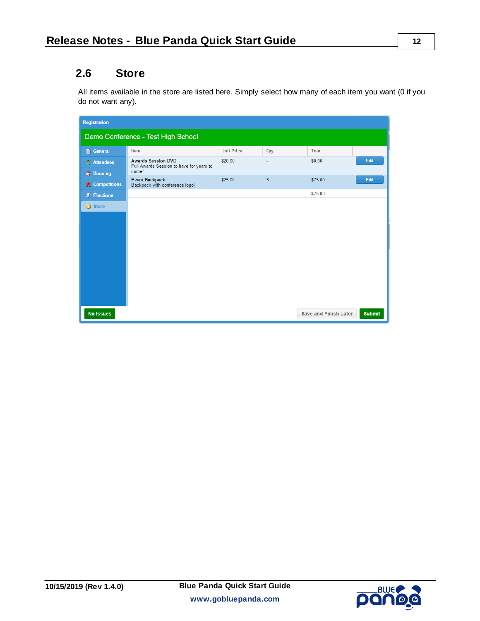### **2.6 Store**

All items available in the store are listed here. Simply select how many of each item you want (0 if you do not want any).

| <b>Registration</b>                |                                                                       |                   |     |                              |               |
|------------------------------------|-----------------------------------------------------------------------|-------------------|-----|------------------------------|---------------|
| Demo Conference - Test High School |                                                                       |                   |     |                              |               |
| <b>E</b> General                   | Item                                                                  | <b>Unit Price</b> | Qty | <b>Total</b>                 |               |
| <b>Attendees</b>                   | <b>Awards Session DVD</b><br>Full Awards Session to have for years to | \$20.00           | ٠   | \$0.00                       | Edit          |
| Housing                            | come!<br><b>Event Backpack</b>                                        | \$25.00           | 3   | \$75.00                      | Edit          |
| <b>R</b> Competitions              | Backpack with conference logo!                                        |                   |     |                              |               |
| <b>J</b> <sup></sup> Elections     |                                                                       |                   |     | \$75.00                      |               |
| Store                              |                                                                       |                   |     |                              |               |
|                                    |                                                                       |                   |     |                              |               |
|                                    |                                                                       |                   |     |                              |               |
|                                    |                                                                       |                   |     |                              |               |
|                                    |                                                                       |                   |     |                              |               |
|                                    |                                                                       |                   |     |                              |               |
|                                    |                                                                       |                   |     |                              |               |
|                                    |                                                                       |                   |     |                              |               |
|                                    |                                                                       |                   |     |                              |               |
|                                    |                                                                       |                   |     |                              |               |
|                                    |                                                                       |                   |     |                              |               |
| <b>No Issues</b>                   |                                                                       |                   |     | <b>Save and Finish Later</b> | <b>Submit</b> |



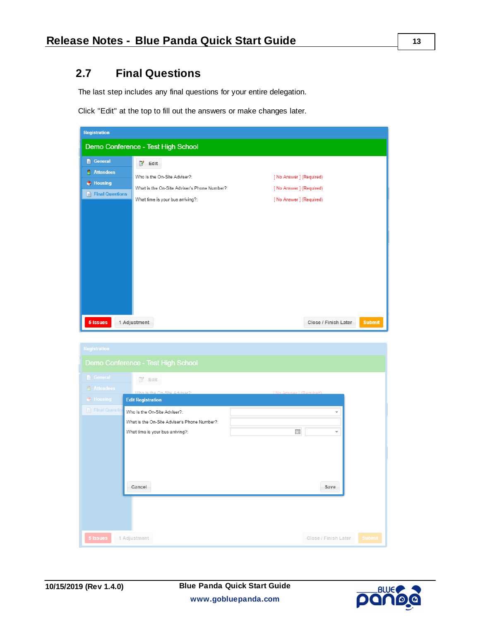## **2.7 Final Questions**

The last step includes any final questions for your entire delegation.

Click "Edit" at the top to fill out the answers or make changes later.

| <b>Registration</b>         |                                                                              |                                                  |
|-----------------------------|------------------------------------------------------------------------------|--------------------------------------------------|
|                             | Demo Conference - Test High School                                           |                                                  |
| <b>General</b><br>Attendees | $^{\prime}$ Edit                                                             |                                                  |
| Housing<br>Final Questions  | Who is the On-Site Adviser?:<br>What is the On-Site Adviser's Phone Number?: | [No Answer] (Required)<br>[No Answer] (Required) |
|                             | What time is your bus arriving?:                                             | [No Answer] (Required)                           |
|                             |                                                                              |                                                  |
|                             |                                                                              |                                                  |
|                             |                                                                              |                                                  |
|                             |                                                                              |                                                  |
|                             |                                                                              |                                                  |
| 5 Issues                    | 1 Adjustment                                                                 | Close / Finish Later<br><b>Submit</b>            |

| <b>Registration</b> |                                                                                                                  |                                                          |
|---------------------|------------------------------------------------------------------------------------------------------------------|----------------------------------------------------------|
|                     | Demo Conference - Test High School                                                                               |                                                          |
| General             | $2$ Edit                                                                                                         |                                                          |
| <b>Attendees</b>    | Who is the On-Site Adviser?                                                                                      | [ No Answer ] (Required)                                 |
| $\bigoplus$ Housing | <b>Edit Registration</b>                                                                                         |                                                          |
| Final Question      | Who is the On-Site Adviser?:<br>What is the On-Site Adviser's Phone Number?:<br>What time is your bus arriving?: | $\overline{\phantom{a}}$<br>丽<br>$\overline{\mathbf{v}}$ |
|                     | Cancel                                                                                                           | Save                                                     |
|                     |                                                                                                                  |                                                          |
| 5 Issues            | 1 Adjustment                                                                                                     | Close / Finish Later<br><b>Submit</b>                    |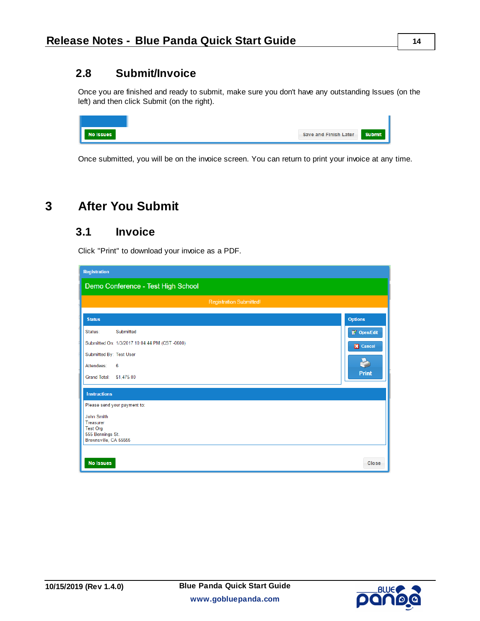### **2.8 Submit/Invoice**

Once you are finished and ready to submit, make sure you don't have any outstanding Issues (on the left) and then click Submit (on the right).

| <b>No Issues</b> | Save and Finish Later | <b>Submit</b> |
|------------------|-----------------------|---------------|

Once submitted, you will be on the invoice screen. You can return to print your invoice at any time.

# **3 After You Submit**

### **3.1 Invoice**

Click "Print" to download your invoice as a PDF.

| <b>Registration</b>                           |                 |
|-----------------------------------------------|-----------------|
| Demo Conference - Test High School            |                 |
| <b>Registration Submitted!</b>                |                 |
| <b>Status</b>                                 | <b>Options</b>  |
| Submitted<br>Status:                          | Open/Edit       |
| Submitted On: 1/3/2017 10:04:44 PM (CST-0600) | <b>X</b> Cancel |
| Submitted By: Test User                       |                 |
| Attendees:<br>6                               |                 |
| Grand Total: \$1,475.00                       | <b>Print</b>    |
| <b>Instructions</b>                           |                 |
| Please send your payment to:                  |                 |
| <b>John Smith</b><br><b>Treasurer</b>         |                 |
| <b>Test Org</b>                               |                 |
| 555 Bennings St.<br>Brownsville, CA 55555     |                 |
|                                               |                 |
| <b>No Issues</b>                              | Close           |